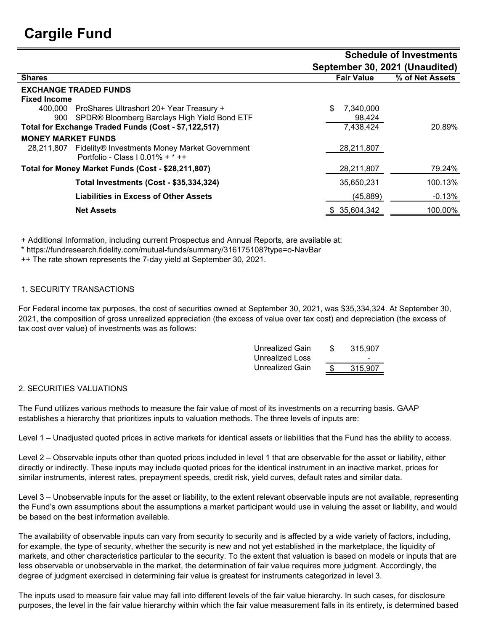|                                                             |                                | <b>Schedule of Investments</b> |  |  |  |  |
|-------------------------------------------------------------|--------------------------------|--------------------------------|--|--|--|--|
|                                                             | September 30, 2021 (Unaudited) |                                |  |  |  |  |
| <b>Shares</b>                                               | <b>Fair Value</b>              | % of Net Assets                |  |  |  |  |
| <b>EXCHANGE TRADED FUNDS</b>                                |                                |                                |  |  |  |  |
| <b>Fixed Income</b>                                         |                                |                                |  |  |  |  |
| ProShares Ultrashort 20+ Year Treasury +<br>400.000         | 7,340,000                      |                                |  |  |  |  |
| SPDR® Bloomberg Barclays High Yield Bond ETF<br>900         | 98,424                         |                                |  |  |  |  |
| Total for Exchange Traded Funds (Cost - \$7,122,517)        | 7,438,424                      | 20.89%                         |  |  |  |  |
| <b>MONEY MARKET FUNDS</b>                                   |                                |                                |  |  |  |  |
| Fidelity® Investments Money Market Government<br>28.211.807 | 28,211,807                     |                                |  |  |  |  |
| Portfolio - Class I 0.01% + $*$ ++                          |                                |                                |  |  |  |  |
| Total for Money Market Funds (Cost - \$28,211,807)          | 28,211,807                     | 79.24%                         |  |  |  |  |
| <b>Total Investments (Cost - \$35,334,324)</b>              | 35,650,231                     | 100.13%                        |  |  |  |  |
| Liabilities in Excess of Other Assets                       | (45, 889)                      | $-0.13%$                       |  |  |  |  |
| <b>Net Assets</b>                                           | 35,604,342                     | 100.00%                        |  |  |  |  |
|                                                             |                                |                                |  |  |  |  |

+ Additional Information, including current Prospectus and Annual Reports, are available at:

\* https://fundresearch.fidelity.com/mutual-funds/summary/316175108?type=o-NavBar

++ The rate shown represents the 7-day yield at September 30, 2021.

## 1. SECURITY TRANSACTIONS

For Federal income tax purposes, the cost of securities owned at September 30, 2021, was \$35,334,324. At September 30, 2021, the composition of gross unrealized appreciation (the excess of value over tax cost) and depreciation (the excess of tax cost over value) of investments was as follows:

| Unrealized Gain | 315.907                  |
|-----------------|--------------------------|
| Unrealized Loss | $\overline{\phantom{0}}$ |
| Unrealized Gain | 315.907                  |

## 2. SECURITIES VALUATIONS

The Fund utilizes various methods to measure the fair value of most of its investments on a recurring basis. GAAP establishes a hierarchy that prioritizes inputs to valuation methods. The three levels of inputs are:

Level 1 – Unadjusted quoted prices in active markets for identical assets or liabilities that the Fund has the ability to access.

Level 2 – Observable inputs other than quoted prices included in level 1 that are observable for the asset or liability, either directly or indirectly. These inputs may include quoted prices for the identical instrument in an inactive market, prices for similar instruments, interest rates, prepayment speeds, credit risk, yield curves, default rates and similar data.

Level 3 – Unobservable inputs for the asset or liability, to the extent relevant observable inputs are not available, representing the Fund's own assumptions about the assumptions a market participant would use in valuing the asset or liability, and would be based on the best information available.

The availability of observable inputs can vary from security to security and is affected by a wide variety of factors, including, for example, the type of security, whether the security is new and not yet established in the marketplace, the liquidity of markets, and other characteristics particular to the security. To the extent that valuation is based on models or inputs that are less observable or unobservable in the market, the determination of fair value requires more judgment. Accordingly, the degree of judgment exercised in determining fair value is greatest for instruments categorized in level 3.

The inputs used to measure fair value may fall into different levels of the fair value hierarchy. In such cases, for disclosure purposes, the level in the fair value hierarchy within which the fair value measurement falls in its entirety, is determined based